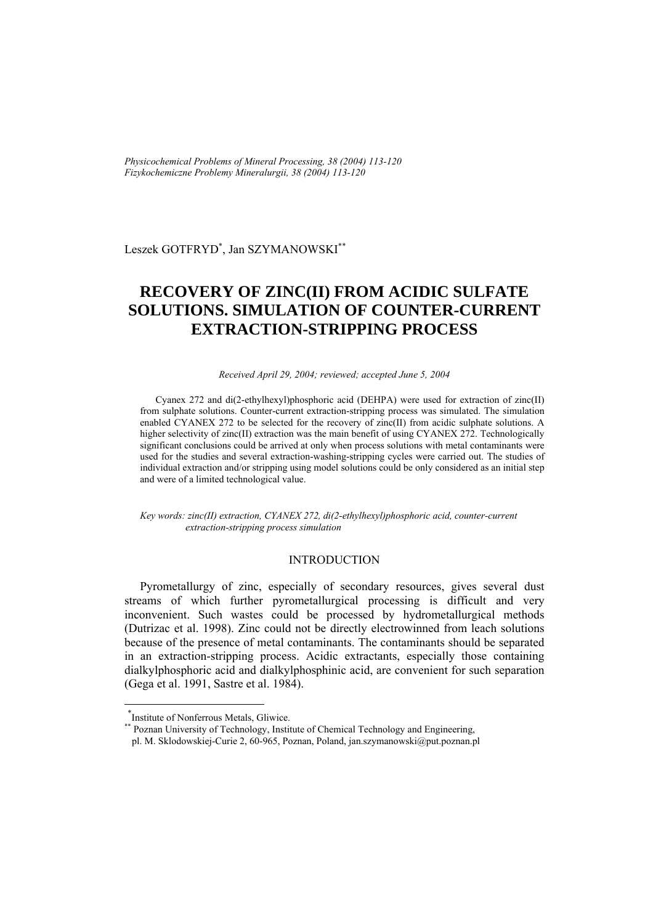*Physicochemical Problems of Mineral Processing, 38 (2004) 113-120 Fizykochemiczne Problemy Mineralurgii, 38 (2004) 113-120* 

Leszek GOTFRYD\* , Jan SZYMANOWSKI\*\*

# **RECOVERY OF ZINC(II) FROM ACIDIC SULFATE SOLUTIONS. SIMULATION OF COUNTER-CURRENT EXTRACTION-STRIPPING PROCESS**

*Received April 29, 2004; reviewed; accepted June 5, 2004* 

Cyanex 272 and di(2-ethylhexyl)phosphoric acid (DEHPA) were used for extraction of zinc(II) from sulphate solutions. Counter-current extraction-stripping process was simulated. The simulation enabled CYANEX 272 to be selected for the recovery of zinc(II) from acidic sulphate solutions. A higher selectivity of zinc(II) extraction was the main benefit of using CYANEX 272. Technologically significant conclusions could be arrived at only when process solutions with metal contaminants were used for the studies and several extraction-washing-stripping cycles were carried out. The studies of individual extraction and/or stripping using model solutions could be only considered as an initial step and were of a limited technological value.

*Key words: zinc(II) extraction, CYANEX 272, di(2-ethylhexyl)phosphoric acid, counter-current extraction-stripping process simulation* 

#### INTRODUCTION

Pyrometallurgy of zinc, especially of secondary resources, gives several dust streams of which further pyrometallurgical processing is difficult and very inconvenient. Such wastes could be processed by hydrometallurgical methods (Dutrizac et al. 1998). Zinc could not be directly electrowinned from leach solutions because of the presence of metal contaminants. The contaminants should be separated in an extraction-stripping process. Acidic extractants, especially those containing dialkylphosphoric acid and dialkylphosphinic acid, are convenient for such separation (Gega et al. 1991, Sastre et al. 1984).

l

<sup>\*</sup> Institute of Nonferrous Metals, Gliwice.

Poznan University of Technology, Institute of Chemical Technology and Engineering,

pl. M. Sklodowskiej-Curie 2, 60-965, Poznan, Poland, jan.szymanowski@put.poznan.pl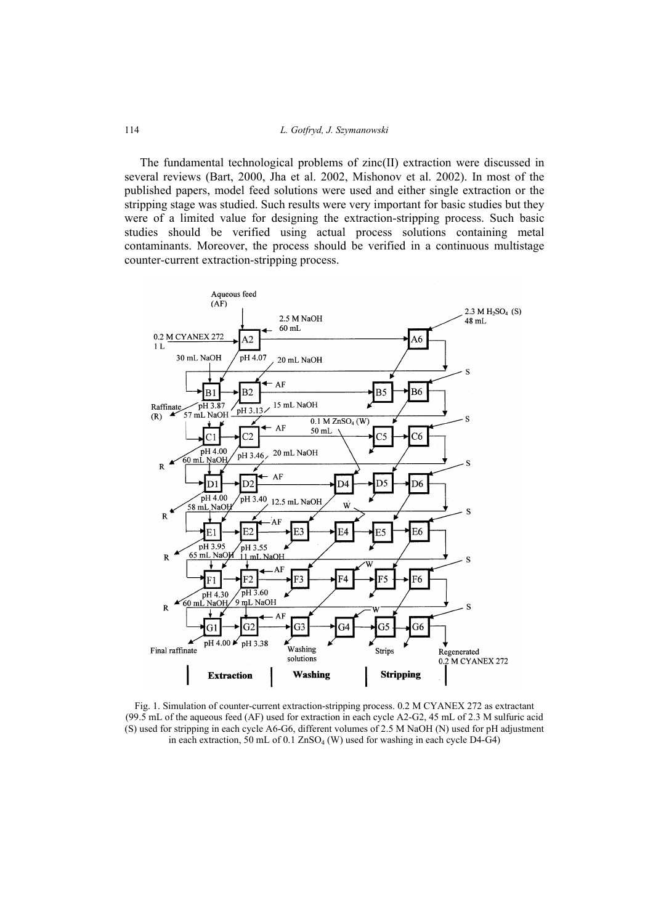The fundamental technological problems of zinc(II) extraction were discussed in several reviews (Bart, 2000, Jha et al. 2002, Mishonov et al. 2002). In most of the published papers, model feed solutions were used and either single extraction or the stripping stage was studied. Such results were very important for basic studies but they were of a limited value for designing the extraction-stripping process. Such basic studies should be verified using actual process solutions containing metal contaminants. Moreover, the process should be verified in a continuous multistage counter-current extraction-stripping process.



Fig. 1. Simulation of counter-current extraction-stripping process. 0.2 M CYANEX 272 as extractant (99.5 mL of the aqueous feed (AF) used for extraction in each cycle A2-G2, 45 mL of 2.3 M sulfuric acid (S) used for stripping in each cycle A6-G6, different volumes of 2.5 M NaOH (N) used for pH adjustment in each extraction, 50 mL of 0.1  $ZnSO_4$  (W) used for washing in each cycle D4-G4)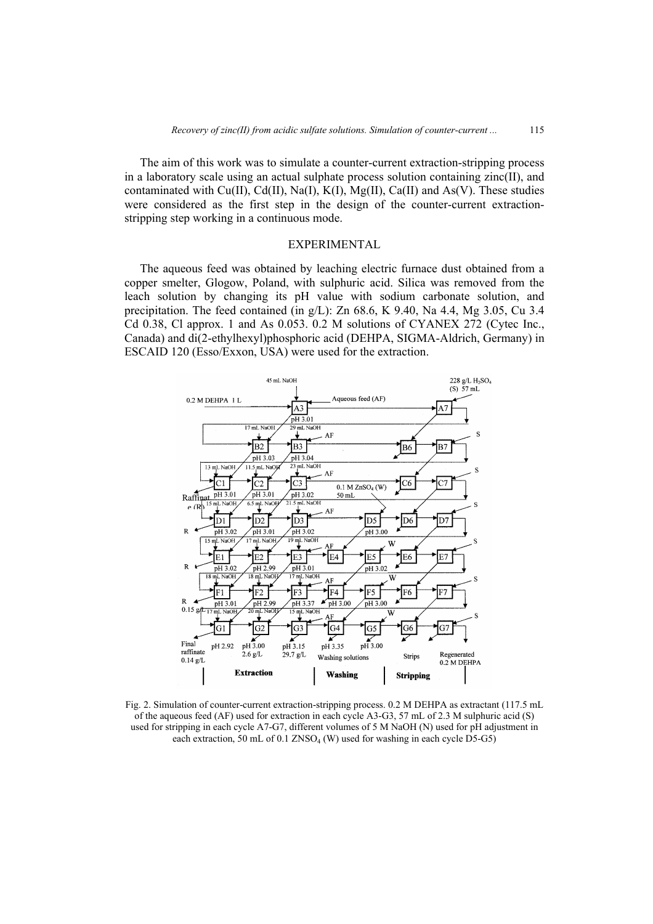The aim of this work was to simulate a counter-current extraction-stripping process in a laboratory scale using an actual sulphate process solution containing zinc(II), and contaminated with Cu(II), Cd(II), Na(I), K(I), Mg(II), Ca(II) and As(V). These studies were considered as the first step in the design of the counter-current extractionstripping step working in a continuous mode.

## EXPERIMENTAL

The aqueous feed was obtained by leaching electric furnace dust obtained from a copper smelter, Glogow, Poland, with sulphuric acid. Silica was removed from the leach solution by changing its pH value with sodium carbonate solution, and precipitation. The feed contained (in  $g/L$ ): Zn 68.6, K 9.40, Na 4.4, Mg 3.05, Cu 3.4 Cd 0.38, Cl approx. 1 and As 0.053. 0.2 M solutions of CYANEX 272 (Cytec Inc., Canada) and di(2-ethylhexyl)phosphoric acid (DEHPA, SIGMA-Aldrich, Germany) in ESCAID 120 (Esso/Exxon, USA) were used for the extraction.



Fig. 2. Simulation of counter-current extraction-stripping process. 0.2 M DEHPA as extractant (117.5 mL of the aqueous feed (AF) used for extraction in each cycle A3-G3, 57 mL of 2.3 M sulphuric acid (S) used for stripping in each cycle A7-G7, different volumes of 5 M NaOH (N) used for pH adjustment in each extraction, 50 mL of 0.1  $ZNSO<sub>4</sub>$  (W) used for washing in each cycle D5-G5)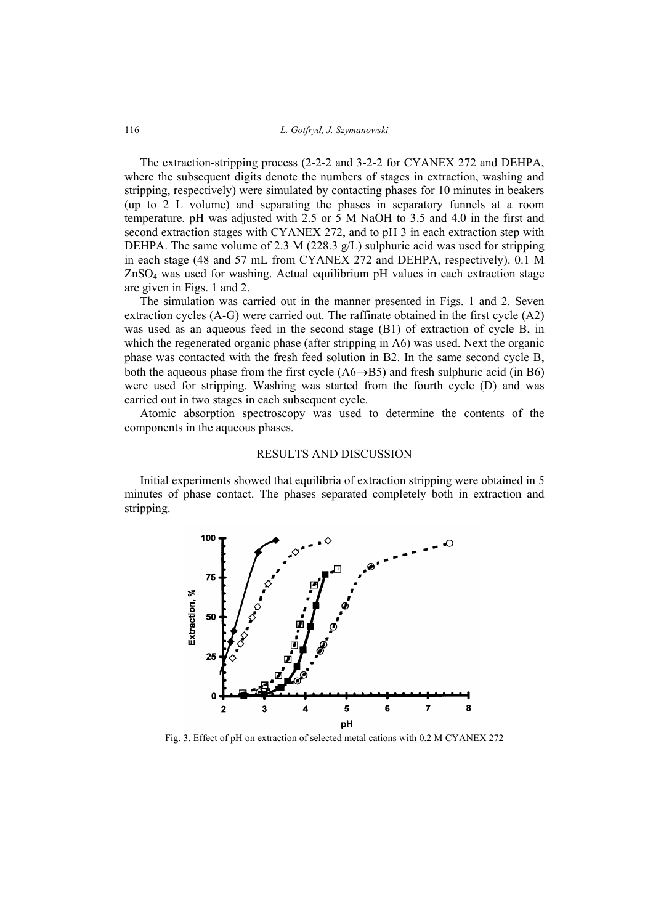The extraction-stripping process (2-2-2 and 3-2-2 for CYANEX 272 and DEHPA, where the subsequent digits denote the numbers of stages in extraction, washing and stripping, respectively) were simulated by contacting phases for 10 minutes in beakers (up to 2 L volume) and separating the phases in separatory funnels at a room temperature. pH was adjusted with 2.5 or 5 M NaOH to 3.5 and 4.0 in the first and second extraction stages with CYANEX 272, and to pH 3 in each extraction step with DEHPA. The same volume of 2.3 M (228.3  $g/L$ ) sulphuric acid was used for stripping in each stage (48 and 57 mL from CYANEX 272 and DEHPA, respectively). 0.1 M ZnSO4 was used for washing. Actual equilibrium pH values in each extraction stage are given in Figs. 1 and 2.

The simulation was carried out in the manner presented in Figs. 1 and 2. Seven extraction cycles (A-G) were carried out. The raffinate obtained in the first cycle (A2) was used as an aqueous feed in the second stage (B1) of extraction of cycle B, in which the regenerated organic phase (after stripping in A6) was used. Next the organic phase was contacted with the fresh feed solution in B2. In the same second cycle B, both the aqueous phase from the first cycle  $(A6\rightarrow B5)$  and fresh sulphuric acid (in B6) were used for stripping. Washing was started from the fourth cycle (D) and was carried out in two stages in each subsequent cycle.

Atomic absorption spectroscopy was used to determine the contents of the components in the aqueous phases.

## RESULTS AND DISCUSSION

Initial experiments showed that equilibria of extraction stripping were obtained in 5 minutes of phase contact. The phases separated completely both in extraction and stripping.



Fig. 3. Effect of pH on extraction of selected metal cations with 0.2 M CYANEX 272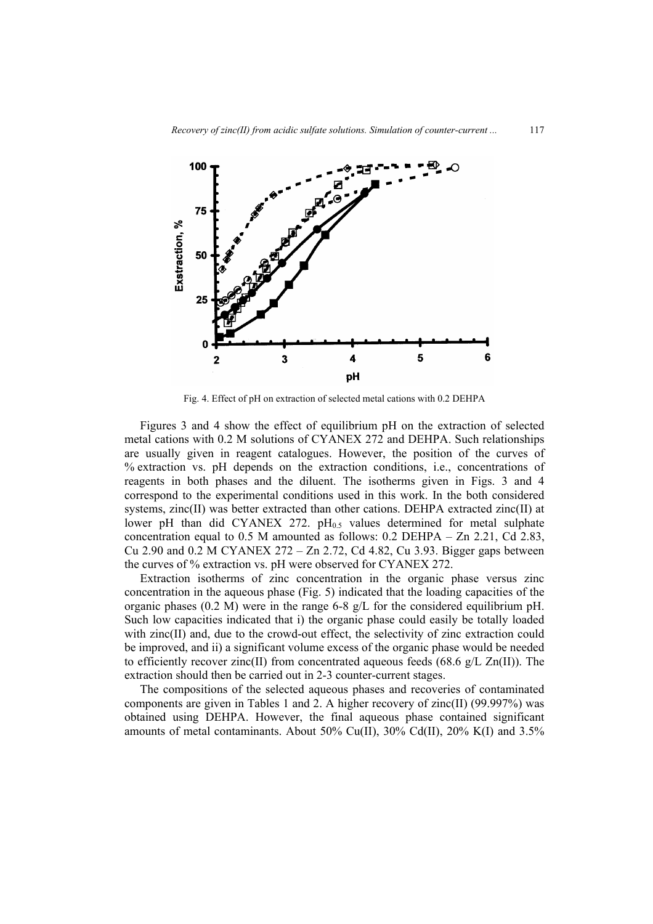

Fig. 4. Effect of pH on extraction of selected metal cations with 0.2 DEHPA

Figures 3 and 4 show the effect of equilibrium pH on the extraction of selected metal cations with 0.2 M solutions of CYANEX 272 and DEHPA. Such relationships are usually given in reagent catalogues. However, the position of the curves of % extraction vs. pH depends on the extraction conditions, i.e., concentrations of reagents in both phases and the diluent. The isotherms given in Figs. 3 and 4 correspond to the experimental conditions used in this work. In the both considered systems, zinc(II) was better extracted than other cations. DEHPA extracted zinc(II) at lower pH than did CYANEX 272.  $pH<sub>0.5</sub>$  values determined for metal sulphate concentration equal to 0.5 M amounted as follows: 0.2 DEHPA – Zn 2.21, Cd 2.83, Cu 2.90 and 0.2 M CYANEX 272 – Zn 2.72, Cd 4.82, Cu 3.93. Bigger gaps between the curves of % extraction vs. pH were observed for CYANEX 272.

Extraction isotherms of zinc concentration in the organic phase versus zinc concentration in the aqueous phase (Fig. 5) indicated that the loading capacities of the organic phases  $(0.2 \text{ M})$  were in the range 6-8 g/L for the considered equilibrium pH. Such low capacities indicated that i) the organic phase could easily be totally loaded with zinc(II) and, due to the crowd-out effect, the selectivity of zinc extraction could be improved, and ii) a significant volume excess of the organic phase would be needed to efficiently recover zinc(II) from concentrated aqueous feeds (68.6  $g/L Zn(II)$ ). The extraction should then be carried out in 2-3 counter-current stages.

The compositions of the selected aqueous phases and recoveries of contaminated components are given in Tables 1 and 2. A higher recovery of zinc(II) (99.997%) was obtained using DEHPA. However, the final aqueous phase contained significant amounts of metal contaminants. About 50% Cu(II), 30% Cd(II), 20% K(I) and 3.5%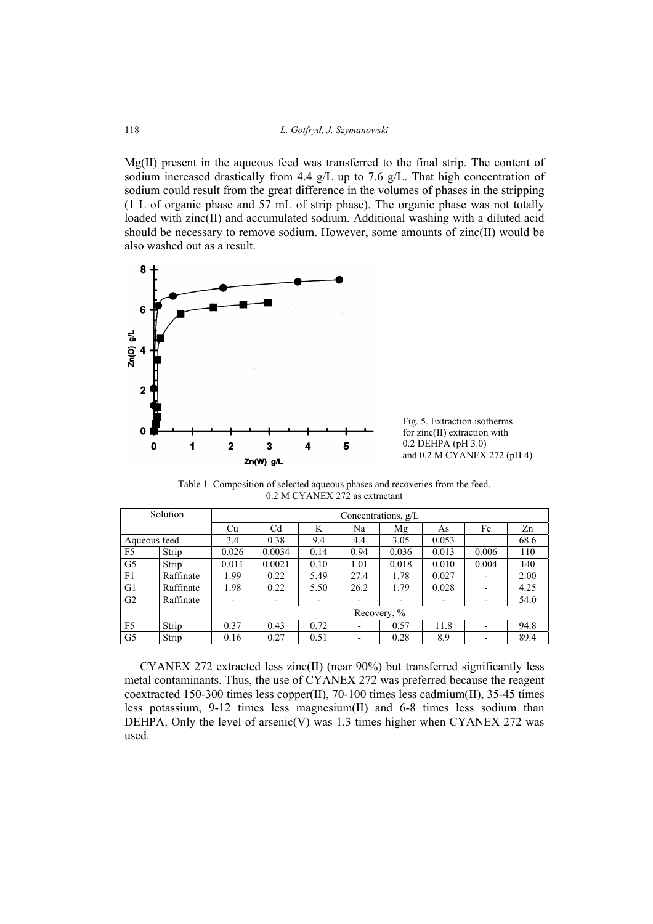Mg(II) present in the aqueous feed was transferred to the final strip. The content of sodium increased drastically from 4.4 g/L up to 7.6 g/L. That high concentration of sodium could result from the great difference in the volumes of phases in the stripping (1 L of organic phase and 57 mL of strip phase). The organic phase was not totally loaded with zinc(II) and accumulated sodium. Additional washing with a diluted acid should be necessary to remove sodium. However, some amounts of zinc(II) would be also washed out as a result.



Fig. 5. Extraction isotherms for zinc(II) extraction with 0.2 DEHPA (pH 3.0) and 0.2 M CYANEX 272 (pH 4)

Table 1. Composition of selected aqueous phases and recoveries from the feed. 0.2 M CYANEX 272 as extractant

| Solution       |           | Concentrations, $g/L$ |        |                          |      |                          |       |                          |      |  |
|----------------|-----------|-----------------------|--------|--------------------------|------|--------------------------|-------|--------------------------|------|--|
|                |           | Cu                    | Cd     | K                        | Na   | Mg                       | As    | Fe                       | Zn   |  |
| Aqueous feed   |           | 3.4                   | 0.38   | 9.4                      | 4.4  | 3.05                     | 0.053 |                          | 68.6 |  |
| F <sub>5</sub> | Strip     | 0.026                 | 0.0034 | 0.14                     | 0.94 | 0.036                    | 0.013 | 0.006                    | 110  |  |
| G <sub>5</sub> | Strip     | 0.011                 | 0.0021 | 0.10                     | 1.01 | 0.018                    | 0.010 | 0.004                    | 140  |  |
| F1             | Raffinate | 1.99                  | 0.22   | 5.49                     | 27.4 | 1.78                     | 0.027 |                          | 2.00 |  |
| G1             | Raffinate | 1.98                  | 0.22   | 5.50                     | 26.2 | 1.79                     | 0.028 | ٠                        | 4.25 |  |
| G <sub>2</sub> | Raffinate | Ξ.                    | ٠      | $\overline{\phantom{a}}$ | ٠    | $\overline{\phantom{0}}$ | -     | $\overline{\phantom{a}}$ | 54.0 |  |
|                |           | Recovery, %           |        |                          |      |                          |       |                          |      |  |
| F <sub>5</sub> | Strip     | 0.37                  | 0.43   | 0.72                     |      | 0.57                     | 11.8  | $\overline{\phantom{0}}$ | 94.8 |  |
| G <sub>5</sub> | Strip     | 0.16                  | 0.27   | 0.51                     | ٠    | 0.28                     | 8.9   | ٠                        | 89.4 |  |

CYANEX 272 extracted less zinc(II) (near 90%) but transferred significantly less metal contaminants. Thus, the use of CYANEX 272 was preferred because the reagent coextracted 150-300 times less copper(II), 70-100 times less cadmium(II), 35-45 times less potassium, 9-12 times less magnesium(II) and 6-8 times less sodium than DEHPA. Only the level of arsenic(V) was  $1.3$  times higher when CYANEX 272 was used.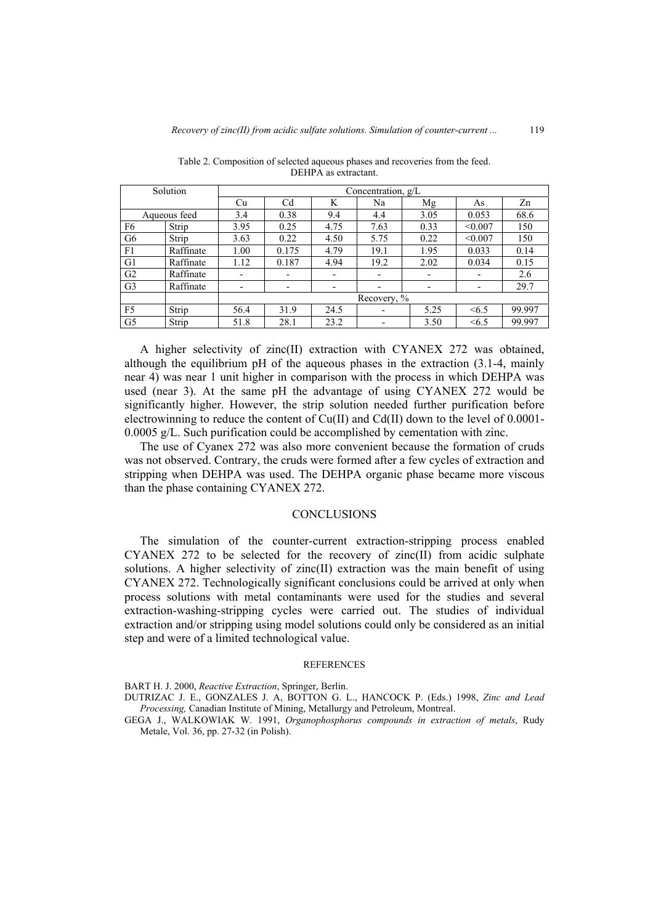| Solution       |           | Concentration, g/L       |                          |                          |                          |      |                          |        |  |  |  |
|----------------|-----------|--------------------------|--------------------------|--------------------------|--------------------------|------|--------------------------|--------|--|--|--|
|                |           | Cu                       | C <sub>d</sub>           | K                        | Na                       | Mg   | As                       | Zn     |  |  |  |
| Aqueous feed   |           | 3.4                      | 0.38                     | 9.4                      | 4.4                      | 3.05 | 0.053                    | 68.6   |  |  |  |
| F <sub>6</sub> | Strip     | 3.95                     | 0.25                     | 4.75                     | 7.63                     | 0.33 | < 0.007                  | 150    |  |  |  |
| G <sub>6</sub> | Strip     | 3.63                     | 0.22                     | 4.50                     | 5.75                     | 0.22 | < 0.007                  | 150    |  |  |  |
| F1             | Raffinate | 1.00                     | 0.175                    | 4.79                     | 19.1                     | 1.95 | 0.033                    | 0.14   |  |  |  |
| G1             | Raffinate | 1.12                     | 0.187                    | 4.94                     | 19.2                     | 2.02 | 0.034                    | 0.15   |  |  |  |
| G <sub>2</sub> | Raffinate | $\overline{\phantom{a}}$ | $\overline{\phantom{0}}$ | $\overline{\phantom{0}}$ | $\overline{\phantom{a}}$ | ٠    | $\overline{\phantom{0}}$ | 2.6    |  |  |  |
| G <sub>3</sub> | Raffinate | $\overline{\phantom{a}}$ | -                        | $\overline{\phantom{0}}$ | $\overline{\phantom{a}}$ |      | $\overline{\phantom{a}}$ | 29.7   |  |  |  |
|                |           | Recovery, %              |                          |                          |                          |      |                          |        |  |  |  |
| F <sub>5</sub> | Strip     | 56.4                     | 31.9                     | 24.5                     |                          | 5.25 | <6.5                     | 99.997 |  |  |  |
| G <sub>5</sub> | Strip     | 51.8                     | 28.1                     | 23.2                     |                          | 3.50 | <6.5                     | 99.997 |  |  |  |

Table 2. Composition of selected aqueous phases and recoveries from the feed. DEHPA as extractant.

A higher selectivity of zinc(II) extraction with CYANEX 272 was obtained, although the equilibrium pH of the aqueous phases in the extraction (3.1-4, mainly near 4) was near 1 unit higher in comparison with the process in which DEHPA was used (near 3). At the same pH the advantage of using CYANEX 272 would be significantly higher. However, the strip solution needed further purification before electrowinning to reduce the content of Cu(II) and Cd(II) down to the level of 0.0001- 0.0005 g/L. Such purification could be accomplished by cementation with zinc.

The use of Cyanex 272 was also more convenient because the formation of cruds was not observed. Contrary, the cruds were formed after a few cycles of extraction and stripping when DEHPA was used. The DEHPA organic phase became more viscous than the phase containing CYANEX 272.

### **CONCLUSIONS**

The simulation of the counter-current extraction-stripping process enabled CYANEX 272 to be selected for the recovery of zinc(II) from acidic sulphate solutions. A higher selectivity of zinc(II) extraction was the main benefit of using CYANEX 272. Technologically significant conclusions could be arrived at only when process solutions with metal contaminants were used for the studies and several extraction-washing-stripping cycles were carried out. The studies of individual extraction and/or stripping using model solutions could only be considered as an initial step and were of a limited technological value.

#### REFERENCES

BART H. J. 2000, *Reactive Extraction*, Springer, Berlin.

DUTRIZAC J. E., GONZALES J. A, BOTTON G. L., HANCOCK P. (Eds.) 1998, *Zinc and Lead Processing,* Canadian Institute of Mining, Metallurgy and Petroleum, Montreal.

GEGA J., WALKOWIAK W. 1991, *Organophosphorus compounds in extraction of metals*, Rudy Metale, Vol. 36, pp. 27-32 (in Polish).